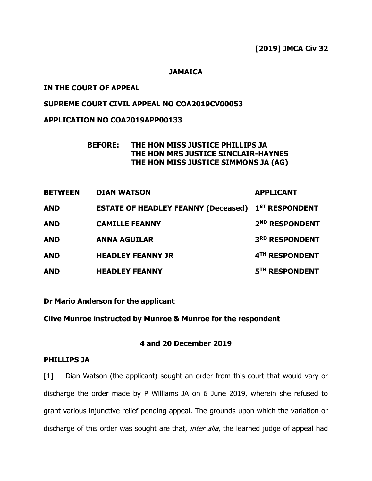**[2019] JMCA Civ 32**

## **JAMAICA**

## **IN THE COURT OF APPEAL**

# **SUPREME COURT CIVIL APPEAL NO COA2019CV00053**

## **APPLICATION NO COA2019APP00133**

# **BEFORE: THE HON MISS JUSTICE PHILLIPS JA THE HON MRS JUSTICE SINCLAIR-HAYNES THE HON MISS JUSTICE SIMMONS JA (AG)**

| <b>BETWEEN</b> | <b>DIAN WATSON</b>                                        | <b>APPLICANT</b>           |
|----------------|-----------------------------------------------------------|----------------------------|
| <b>AND</b>     | <b>ESTATE OF HEADLEY FEANNY (Deceased) 1ST RESPONDENT</b> |                            |
| <b>AND</b>     | <b>CAMILLE FEANNY</b>                                     | 2 <sup>ND</sup> RESPONDENT |
| <b>AND</b>     | <b>ANNA AGUILAR</b>                                       | 3RD RESPONDENT             |
| <b>AND</b>     | <b>HEADLEY FEANNY JR</b>                                  | 4TH RESPONDENT             |
| <b>AND</b>     | <b>HEADLEY FEANNY</b>                                     | 5TH RESPONDENT             |

**Dr Mario Anderson for the applicant**

**Clive Munroe instructed by Munroe & Munroe for the respondent**

## **4 and 20 December 2019**

### **PHILLIPS JA**

[1] Dian Watson (the applicant) sought an order from this court that would vary or discharge the order made by P Williams JA on 6 June 2019, wherein she refused to grant various injunctive relief pending appeal. The grounds upon which the variation or discharge of this order was sought are that, *inter alia*, the learned judge of appeal had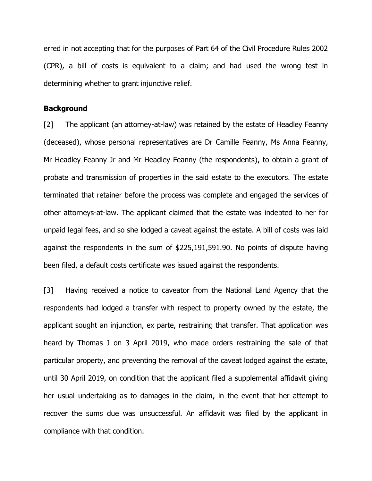erred in not accepting that for the purposes of Part 64 of the Civil Procedure Rules 2002 (CPR), a bill of costs is equivalent to a claim; and had used the wrong test in determining whether to grant injunctive relief.

#### **Background**

[2] The applicant (an attorney-at-law) was retained by the estate of Headley Feanny (deceased), whose personal representatives are Dr Camille Feanny, Ms Anna Feanny, Mr Headley Feanny Jr and Mr Headley Feanny (the respondents), to obtain a grant of probate and transmission of properties in the said estate to the executors. The estate terminated that retainer before the process was complete and engaged the services of other attorneys-at-law. The applicant claimed that the estate was indebted to her for unpaid legal fees, and so she lodged a caveat against the estate. A bill of costs was laid against the respondents in the sum of \$225,191,591.90. No points of dispute having been filed, a default costs certificate was issued against the respondents.

[3] Having received a notice to caveator from the National Land Agency that the respondents had lodged a transfer with respect to property owned by the estate, the applicant sought an injunction, ex parte, restraining that transfer. That application was heard by Thomas J on 3 April 2019, who made orders restraining the sale of that particular property, and preventing the removal of the caveat lodged against the estate, until 30 April 2019, on condition that the applicant filed a supplemental affidavit giving her usual undertaking as to damages in the claim, in the event that her attempt to recover the sums due was unsuccessful. An affidavit was filed by the applicant in compliance with that condition.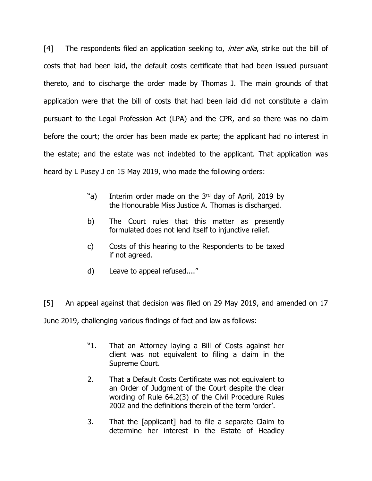[4] The respondents filed an application seeking to, *inter alia*, strike out the bill of costs that had been laid, the default costs certificate that had been issued pursuant thereto, and to discharge the order made by Thomas J. The main grounds of that application were that the bill of costs that had been laid did not constitute a claim pursuant to the Legal Profession Act (LPA) and the CPR, and so there was no claim before the court; the order has been made ex parte; the applicant had no interest in the estate; and the estate was not indebted to the applicant. That application was heard by L Pusey J on 15 May 2019, who made the following orders:

- "a) Interim order made on the  $3<sup>rd</sup>$  day of April, 2019 by the Honourable Miss Justice A. Thomas is discharged.
- b) The Court rules that this matter as presently formulated does not lend itself to injunctive relief.
- c) Costs of this hearing to the Respondents to be taxed if not agreed.
- d) Leave to appeal refused...."

[5] An appeal against that decision was filed on 29 May 2019, and amended on 17 June 2019, challenging various findings of fact and law as follows:

- "1. That an Attorney laying a Bill of Costs against her client was not equivalent to filing a claim in the Supreme Court.
- 2. That a Default Costs Certificate was not equivalent to an Order of Judgment of the Court despite the clear wording of Rule 64.2(3) of the Civil Procedure Rules 2002 and the definitions therein of the term 'order'.
- 3. That the [applicant] had to file a separate Claim to determine her interest in the Estate of Headley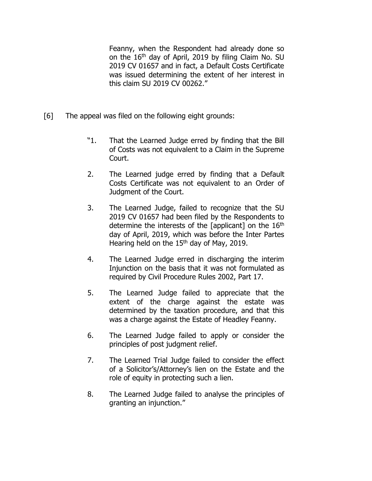Feanny, when the Respondent had already done so on the 16th day of April, 2019 by filing Claim No. SU 2019 CV 01657 and in fact, a Default Costs Certificate was issued determining the extent of her interest in this claim SU 2019 CV 00262."

- [6] The appeal was filed on the following eight grounds:
	- "1. That the Learned Judge erred by finding that the Bill of Costs was not equivalent to a Claim in the Supreme Court.
	- 2. The Learned judge erred by finding that a Default Costs Certificate was not equivalent to an Order of Judgment of the Court.
	- 3. The Learned Judge, failed to recognize that the SU 2019 CV 01657 had been filed by the Respondents to determine the interests of the [applicant] on the 16<sup>th</sup> day of April, 2019, which was before the Inter Partes Hearing held on the 15<sup>th</sup> day of May, 2019.
	- 4. The Learned Judge erred in discharging the interim Injunction on the basis that it was not formulated as required by Civil Procedure Rules 2002, Part 17.
	- 5. The Learned Judge failed to appreciate that the extent of the charge against the estate was determined by the taxation procedure, and that this was a charge against the Estate of Headley Feanny.
	- 6. The Learned Judge failed to apply or consider the principles of post judgment relief.
	- 7. The Learned Trial Judge failed to consider the effect of a Solicitor's/Attorney's lien on the Estate and the role of equity in protecting such a lien.
	- 8. The Learned Judge failed to analyse the principles of granting an injunction."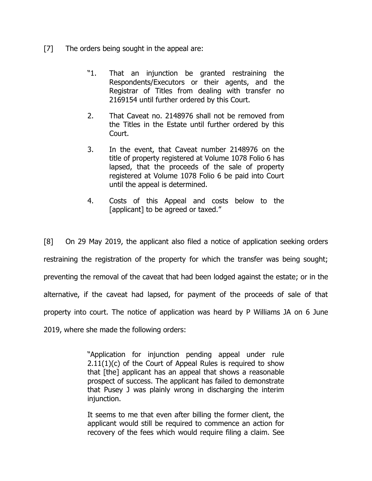- [7] The orders being sought in the appeal are:
	- "1. That an injunction be granted restraining the Respondents/Executors or their agents, and the Registrar of Titles from dealing with transfer no 2169154 until further ordered by this Court.
	- 2. That Caveat no. 2148976 shall not be removed from the Titles in the Estate until further ordered by this Court.
	- 3. In the event, that Caveat number 2148976 on the title of property registered at Volume 1078 Folio 6 has lapsed, that the proceeds of the sale of property registered at Volume 1078 Folio 6 be paid into Court until the appeal is determined.
	- 4. Costs of this Appeal and costs below to the [applicant] to be agreed or taxed."

[8] On 29 May 2019, the applicant also filed a notice of application seeking orders restraining the registration of the property for which the transfer was being sought; preventing the removal of the caveat that had been lodged against the estate; or in the alternative, if the caveat had lapsed, for payment of the proceeds of sale of that property into court. The notice of application was heard by P Williams JA on 6 June 2019, where she made the following orders:

> "Application for injunction pending appeal under rule  $2.11(1)(c)$  of the Court of Appeal Rules is required to show that [the] applicant has an appeal that shows a reasonable prospect of success. The applicant has failed to demonstrate that Pusey J was plainly wrong in discharging the interim injunction.

> It seems to me that even after billing the former client, the applicant would still be required to commence an action for recovery of the fees which would require filing a claim. See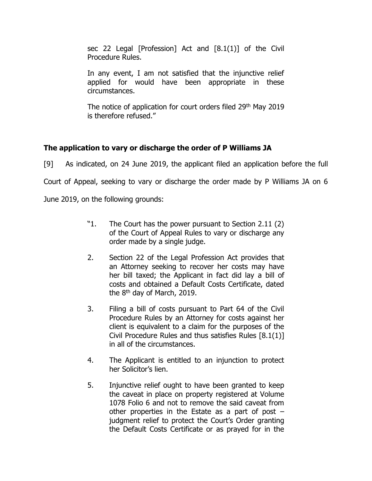sec 22 Legal [Profession] Act and [8.1(1)] of the Civil Procedure Rules.

In any event, I am not satisfied that the injunctive relief applied for would have been appropriate in these circumstances.

The notice of application for court orders filed 29<sup>th</sup> May 2019 is therefore refused."

# **The application to vary or discharge the order of P Williams JA**

[9] As indicated, on 24 June 2019, the applicant filed an application before the full Court of Appeal, seeking to vary or discharge the order made by P Williams JA on 6

June 2019, on the following grounds:

- "1. The Court has the power pursuant to Section 2.11 (2) of the Court of Appeal Rules to vary or discharge any order made by a single judge.
- 2. Section 22 of the Legal Profession Act provides that an Attorney seeking to recover her costs may have her bill taxed; the Applicant in fact did lay a bill of costs and obtained a Default Costs Certificate, dated the  $8<sup>th</sup>$  day of March, 2019.
- 3. Filing a bill of costs pursuant to Part 64 of the Civil Procedure Rules by an Attorney for costs against her client is equivalent to a claim for the purposes of the Civil Procedure Rules and thus satisfies Rules [8.1(1)] in all of the circumstances.
- 4. The Applicant is entitled to an injunction to protect her Solicitor's lien.
- 5. Injunctive relief ought to have been granted to keep the caveat in place on property registered at Volume 1078 Folio 6 and not to remove the said caveat from other properties in the Estate as a part of post – judgment relief to protect the Court's Order granting the Default Costs Certificate or as prayed for in the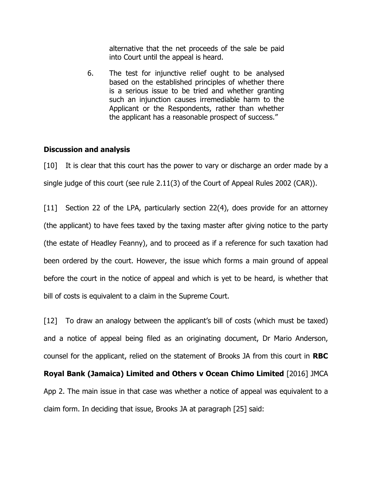alternative that the net proceeds of the sale be paid into Court until the appeal is heard.

6. The test for injunctive relief ought to be analysed based on the established principles of whether there is a serious issue to be tried and whether granting such an injunction causes irremediable harm to the Applicant or the Respondents, rather than whether the applicant has a reasonable prospect of success."

### **Discussion and analysis**

[10] It is clear that this court has the power to vary or discharge an order made by a single judge of this court (see rule 2.11(3) of the Court of Appeal Rules 2002 (CAR)).

[11] Section 22 of the LPA, particularly section 22(4), does provide for an attorney (the applicant) to have fees taxed by the taxing master after giving notice to the party (the estate of Headley Feanny), and to proceed as if a reference for such taxation had been ordered by the court. However, the issue which forms a main ground of appeal before the court in the notice of appeal and which is yet to be heard, is whether that bill of costs is equivalent to a claim in the Supreme Court.

[12] To draw an analogy between the applicant's bill of costs (which must be taxed) and a notice of appeal being filed as an originating document, Dr Mario Anderson, counsel for the applicant, relied on the statement of Brooks JA from this court in **RBC** 

**Royal Bank (Jamaica) Limited and Others v Ocean Chimo Limited** [2016] JMCA App 2. The main issue in that case was whether a notice of appeal was equivalent to a claim form. In deciding that issue, Brooks JA at paragraph [25] said: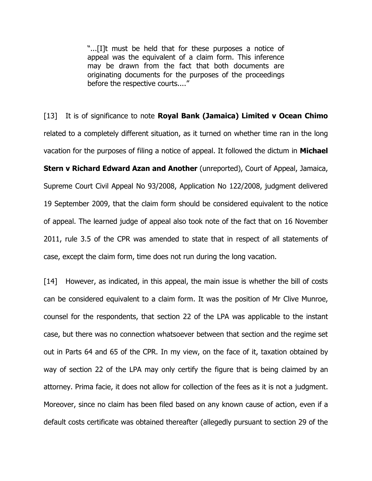"...[I]t must be held that for these purposes a notice of appeal was the equivalent of a claim form. This inference may be drawn from the fact that both documents are originating documents for the purposes of the proceedings before the respective courts...."

[13] It is of significance to note **Royal Bank (Jamaica) Limited v Ocean Chimo** related to a completely different situation, as it turned on whether time ran in the long vacation for the purposes of filing a notice of appeal. It followed the dictum in **Michael Stern v Richard Edward Azan and Another** (unreported), Court of Appeal, Jamaica, Supreme Court Civil Appeal No 93/2008, Application No 122/2008, judgment delivered 19 September 2009, that the claim form should be considered equivalent to the notice of appeal. The learned judge of appeal also took note of the fact that on 16 November 2011, rule 3.5 of the CPR was amended to state that in respect of all statements of case, except the claim form, time does not run during the long vacation.

[14] However, as indicated, in this appeal, the main issue is whether the bill of costs can be considered equivalent to a claim form. It was the position of Mr Clive Munroe, counsel for the respondents, that section 22 of the LPA was applicable to the instant case, but there was no connection whatsoever between that section and the regime set out in Parts 64 and 65 of the CPR. In my view, on the face of it, taxation obtained by way of section 22 of the LPA may only certify the figure that is being claimed by an attorney. Prima facie, it does not allow for collection of the fees as it is not a judgment. Moreover, since no claim has been filed based on any known cause of action, even if a default costs certificate was obtained thereafter (allegedly pursuant to section 29 of the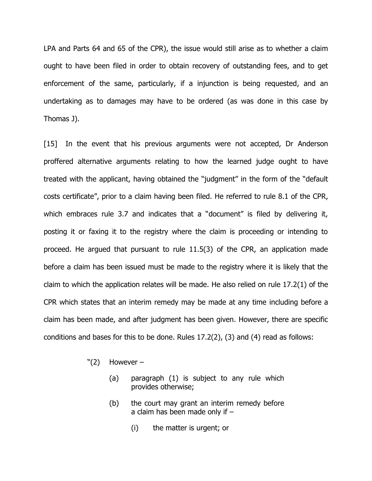LPA and Parts 64 and 65 of the CPR), the issue would still arise as to whether a claim ought to have been filed in order to obtain recovery of outstanding fees, and to get enforcement of the same, particularly, if a injunction is being requested, and an undertaking as to damages may have to be ordered (as was done in this case by Thomas J).

[15] In the event that his previous arguments were not accepted, Dr Anderson proffered alternative arguments relating to how the learned judge ought to have treated with the applicant, having obtained the "judgment" in the form of the "default costs certificate", prior to a claim having been filed. He referred to rule 8.1 of the CPR, which embraces rule 3.7 and indicates that a "document" is filed by delivering it, posting it or faxing it to the registry where the claim is proceeding or intending to proceed. He argued that pursuant to rule 11.5(3) of the CPR, an application made before a claim has been issued must be made to the registry where it is likely that the claim to which the application relates will be made. He also relied on rule 17.2(1) of the CPR which states that an interim remedy may be made at any time including before a claim has been made, and after judgment has been given. However, there are specific conditions and bases for this to be done. Rules 17.2(2), (3) and (4) read as follows:

- $"(2)$  However
	- (a) paragraph (1) is subject to any rule which provides otherwise;
	- (b) the court may grant an interim remedy before a claim has been made only if –
		- (i) the matter is urgent; or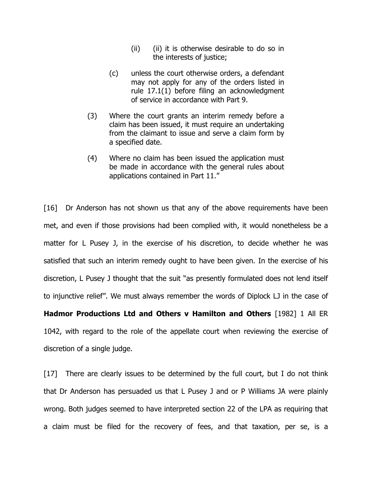- (ii) (ii) it is otherwise desirable to do so in the interests of justice;
- (c) unless the court otherwise orders, a defendant may not apply for any of the orders listed in rule 17.1(1) before filing an acknowledgment of service in accordance with Part 9.
- (3) Where the court grants an interim remedy before a claim has been issued, it must require an undertaking from the claimant to issue and serve a claim form by a specified date.
- (4) Where no claim has been issued the application must be made in accordance with the general rules about applications contained in Part 11."

[16] Dr Anderson has not shown us that any of the above requirements have been met, and even if those provisions had been complied with, it would nonetheless be a matter for L Pusey J, in the exercise of his discretion, to decide whether he was satisfied that such an interim remedy ought to have been given. In the exercise of his discretion, L Pusey J thought that the suit "as presently formulated does not lend itself to injunctive relief". We must always remember the words of Diplock LJ in the case of

**Hadmor Productions Ltd and Others v Hamilton and Others** [1982] 1 All ER 1042, with regard to the role of the appellate court when reviewing the exercise of discretion of a single judge.

[17] There are clearly issues to be determined by the full court, but I do not think that Dr Anderson has persuaded us that L Pusey J and or P Williams JA were plainly wrong. Both judges seemed to have interpreted section 22 of the LPA as requiring that a claim must be filed for the recovery of fees, and that taxation, per se, is a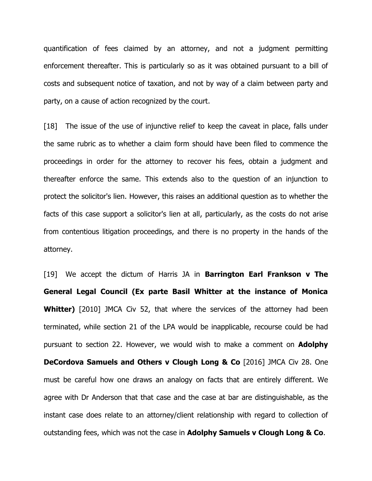quantification of fees claimed by an attorney, and not a judgment permitting enforcement thereafter. This is particularly so as it was obtained pursuant to a bill of costs and subsequent notice of taxation, and not by way of a claim between party and party, on a cause of action recognized by the court.

[18] The issue of the use of injunctive relief to keep the caveat in place, falls under the same rubric as to whether a claim form should have been filed to commence the proceedings in order for the attorney to recover his fees, obtain a judgment and thereafter enforce the same. This extends also to the question of an injunction to protect the solicitor's lien. However, this raises an additional question as to whether the facts of this case support a solicitor's lien at all, particularly, as the costs do not arise from contentious litigation proceedings, and there is no property in the hands of the attorney.

[19] We accept the dictum of Harris JA in **Barrington Earl Frankson v The General Legal Council (Ex parte Basil Whitter at the instance of Monica Whitter)** [2010] JMCA Civ 52, that where the services of the attorney had been terminated, while section 21 of the LPA would be inapplicable, recourse could be had pursuant to section 22. However, we would wish to make a comment on **Adolphy DeCordova Samuels and Others v Clough Long & Co** [2016] JMCA Civ 28. One must be careful how one draws an analogy on facts that are entirely different. We agree with Dr Anderson that that case and the case at bar are distinguishable, as the instant case does relate to an attorney/client relationship with regard to collection of outstanding fees, which was not the case in **Adolphy Samuels v Clough Long & Co**.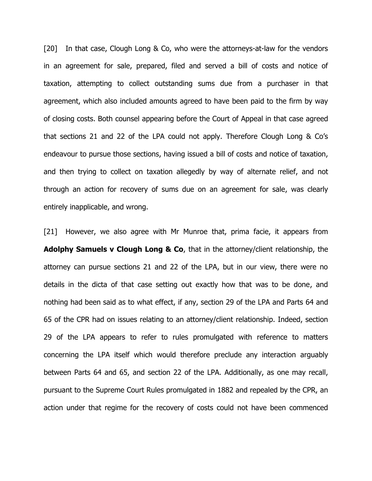[20] In that case, Clough Long & Co, who were the attorneys-at-law for the vendors in an agreement for sale, prepared, filed and served a bill of costs and notice of taxation, attempting to collect outstanding sums due from a purchaser in that agreement, which also included amounts agreed to have been paid to the firm by way of closing costs. Both counsel appearing before the Court of Appeal in that case agreed that sections 21 and 22 of the LPA could not apply. Therefore Clough Long & Co's endeavour to pursue those sections, having issued a bill of costs and notice of taxation, and then trying to collect on taxation allegedly by way of alternate relief, and not through an action for recovery of sums due on an agreement for sale, was clearly entirely inapplicable, and wrong.

[21] However, we also agree with Mr Munroe that, prima facie, it appears from **Adolphy Samuels v Clough Long & Co**, that in the attorney/client relationship, the attorney can pursue sections 21 and 22 of the LPA, but in our view, there were no details in the dicta of that case setting out exactly how that was to be done, and nothing had been said as to what effect, if any, section 29 of the LPA and Parts 64 and 65 of the CPR had on issues relating to an attorney/client relationship. Indeed, section 29 of the LPA appears to refer to rules promulgated with reference to matters concerning the LPA itself which would therefore preclude any interaction arguably between Parts 64 and 65, and section 22 of the LPA. Additionally, as one may recall, pursuant to the Supreme Court Rules promulgated in 1882 and repealed by the CPR, an action under that regime for the recovery of costs could not have been commenced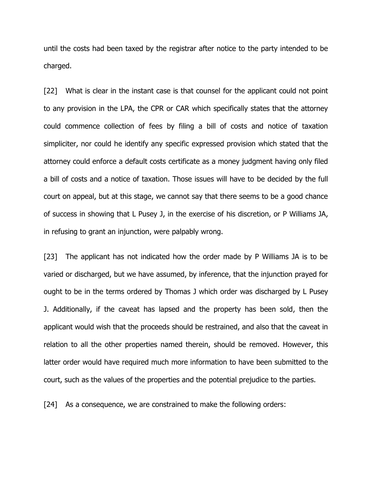until the costs had been taxed by the registrar after notice to the party intended to be charged.

[22] What is clear in the instant case is that counsel for the applicant could not point to any provision in the LPA, the CPR or CAR which specifically states that the attorney could commence collection of fees by filing a bill of costs and notice of taxation simpliciter, nor could he identify any specific expressed provision which stated that the attorney could enforce a default costs certificate as a money judgment having only filed a bill of costs and a notice of taxation. Those issues will have to be decided by the full court on appeal, but at this stage, we cannot say that there seems to be a good chance of success in showing that L Pusey J, in the exercise of his discretion, or P Williams JA, in refusing to grant an injunction, were palpably wrong.

[23] The applicant has not indicated how the order made by P Williams JA is to be varied or discharged, but we have assumed, by inference, that the injunction prayed for ought to be in the terms ordered by Thomas J which order was discharged by L Pusey J. Additionally, if the caveat has lapsed and the property has been sold, then the applicant would wish that the proceeds should be restrained, and also that the caveat in relation to all the other properties named therein, should be removed. However, this latter order would have required much more information to have been submitted to the court, such as the values of the properties and the potential prejudice to the parties.

[24] As a consequence, we are constrained to make the following orders: